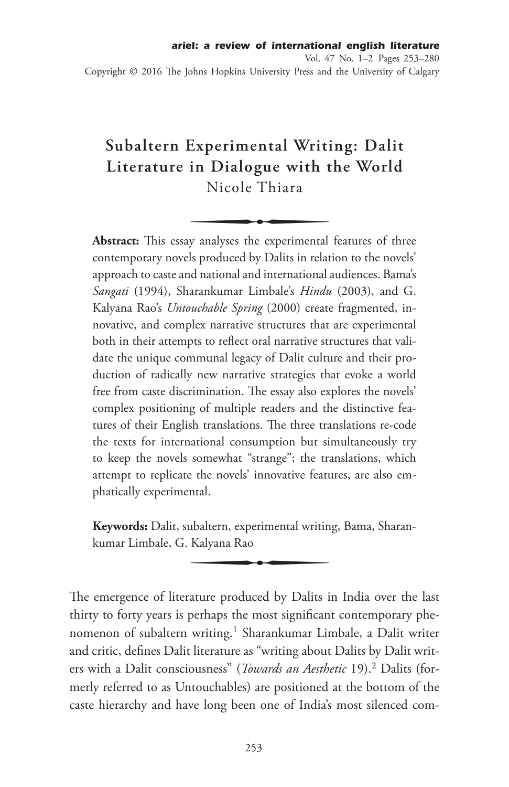# **Subaltern Experimental Writing: Dalit Literature in Dialogue with the World** Experimental Writi<br>
in Dialogue with t<br>
Nicole Thiara<br>
y analyses the experimental Nicole Thiara

**Abstract:** This essay analyses the experimental features of three contemporary novels produced by Dalits in relation to the novels' approach to caste and national and international audiences. Bama's *Sangati* (1994), Sharankumar Limbale's *Hindu* (2003), and G. Kalyana Rao's *Untouchable Spring* (2000) create fragmented, innovative, and complex narrative structures that are experimental both in their attempts to reflect oral narrative structures that validate the unique communal legacy of Dalit culture and their production of radically new narrative strategies that evoke a world free from caste discrimination. The essay also explores the novels' complex positioning of multiple readers and the distinctive features of their English translations. The three translations re-code the texts for international consumption but simultaneously try to keep the novels somewhat "strange"; the translations, which attempt to replicate the novels' innovative features, are also emphatically experimental. somewhat "strange"; the tra<br>e the novels' innovative featured.<br>traditional.<br>ubaltern, experimental writing<br>Kalyana Rao

**Keywords:** Dalit, subaltern, experimental writing, Bama, Sharankumar Limbale, G. Kalyana Rao

The emergence of literature produced by Dalits in India over the last thirty to forty years is perhaps the most significant contemporary phe nomenon of subaltern writing.<sup>1</sup> Sharankumar Limbale, a Dalit writer and critic, defines Dalit literature as "writing about Dalits by Dalit writers with a Dalit consciousness" (*Towards an Aesthetic* 19).2 Dalits (formerly referred to as Untouchables) are positioned at the bottom of the caste hierarchy and have long been one of India's most silenced com-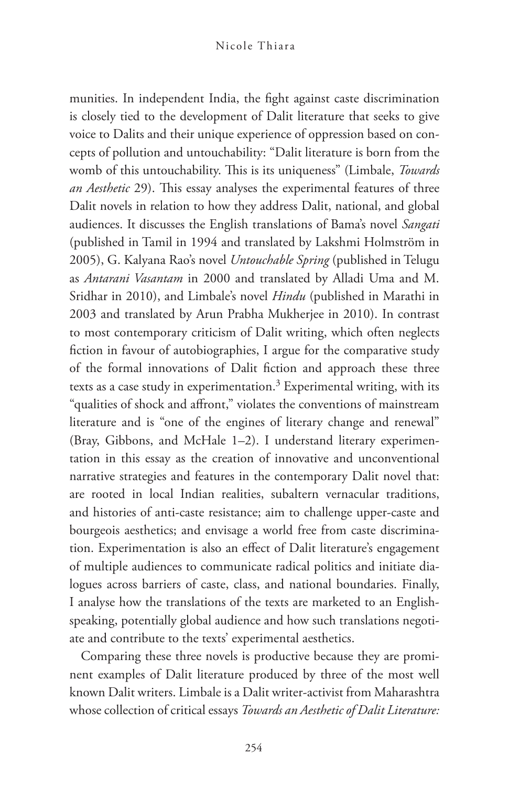munities. In independent India, the fight against caste discrimination is closely tied to the development of Dalit literature that seeks to give voice to Dalits and their unique experience of oppression based on concepts of pollution and untouchability: "Dalit literature is born from the womb of this untouchability. This is its uniqueness" (Limbale, *Towards an Aesthetic* 29). This essay analyses the experimental features of three Dalit novels in relation to how they address Dalit, national, and global audiences. It discusses the English translations of Bama's novel *Sangati* (published in Tamil in 1994 and translated by Lakshmi Holmström in 2005), G. Kalyana Rao's novel *Untouchable Spring* (published in Telugu as *Antarani Vasantam* in 2000 and translated by Alladi Uma and M. Sridhar in 2010), and Limbale's novel *Hindu* (published in Marathi in 2003 and translated by Arun Prabha Mukherjee in 2010). In contrast to most contemporary criticism of Dalit writing, which often neglects fiction in favour of autobiographies, I argue for the comparative study of the formal innovations of Dalit fiction and approach these three texts as a case study in experimentation.<sup>3</sup> Experimental writing, with its "qualities of shock and affront," violates the conventions of mainstream literature and is "one of the engines of literary change and renewal" (Bray, Gibbons, and McHale 1–2). I understand literary experimentation in this essay as the creation of innovative and unconventional narrative strategies and features in the contemporary Dalit novel that: are rooted in local Indian realities, subaltern vernacular traditions, and histories of anti-caste resistance; aim to challenge upper-caste and bourgeois aesthetics; and envisage a world free from caste discrimination. Experimentation is also an effect of Dalit literature's engagement of multiple audiences to communicate radical politics and initiate dialogues across barriers of caste, class, and national boundaries. Finally, I analyse how the translations of the texts are marketed to an Englishspeaking, potentially global audience and how such translations negotiate and contribute to the texts' experimental aesthetics.

Comparing these three novels is productive because they are prominent examples of Dalit literature produced by three of the most well known Dalit writers. Limbale is a Dalit writer-activist from Maharashtra whose collection of critical essays *Towards an Aesthetic of Dalit Literature:*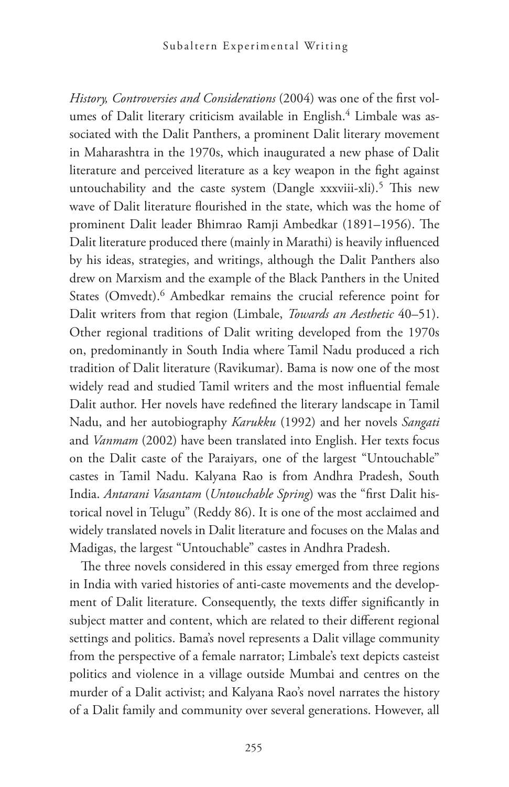*History, Controversies and Considerations* (2004) was one of the first volumes of Dalit literary criticism available in English.<sup>4</sup> Limbale was associated with the Dalit Panthers, a prominent Dalit literary movement in Maharashtra in the 1970s, which inaugurated a new phase of Dalit literature and perceived literature as a key weapon in the fight against untouchability and the caste system (Dangle xxxviii-xli).<sup>5</sup> This new wave of Dalit literature flourished in the state, which was the home of prominent Dalit leader Bhimrao Ramji Ambedkar (1891–1956). The Dalit literature produced there (mainly in Marathi) is heavily influenced by his ideas, strategies, and writings, although the Dalit Panthers also drew on Marxism and the example of the Black Panthers in the United States (Omvedt).<sup>6</sup> Ambedkar remains the crucial reference point for Dalit writers from that region (Limbale, *Towards an Aesthetic* 40–51). Other regional traditions of Dalit writing developed from the 1970s on, predominantly in South India where Tamil Nadu produced a rich tradition of Dalit literature (Ravikumar). Bama is now one of the most widely read and studied Tamil writers and the most influential female Dalit author. Her novels have redefined the literary landscape in Tamil Nadu, and her autobiography *Karukku* (1992) and her novels *Sangati* and *Vanmam* (2002) have been translated into English. Her texts focus on the Dalit caste of the Paraiyars, one of the largest "Untouchable" castes in Tamil Nadu. Kalyana Rao is from Andhra Pradesh, South India. *Antarani Vasantam* (*Untouchable Spring*) was the "first Dalit historical novel in Telugu" (Reddy 86). It is one of the most acclaimed and widely translated novels in Dalit literature and focuses on the Malas and Madigas, the largest "Untouchable" castes in Andhra Pradesh.

The three novels considered in this essay emerged from three regions in India with varied histories of anti-caste movements and the development of Dalit literature. Consequently, the texts differ significantly in subject matter and content, which are related to their different regional settings and politics. Bama's novel represents a Dalit village community from the perspective of a female narrator; Limbale's text depicts casteist politics and violence in a village outside Mumbai and centres on the murder of a Dalit activist; and Kalyana Rao's novel narrates the history of a Dalit family and community over several generations. However, all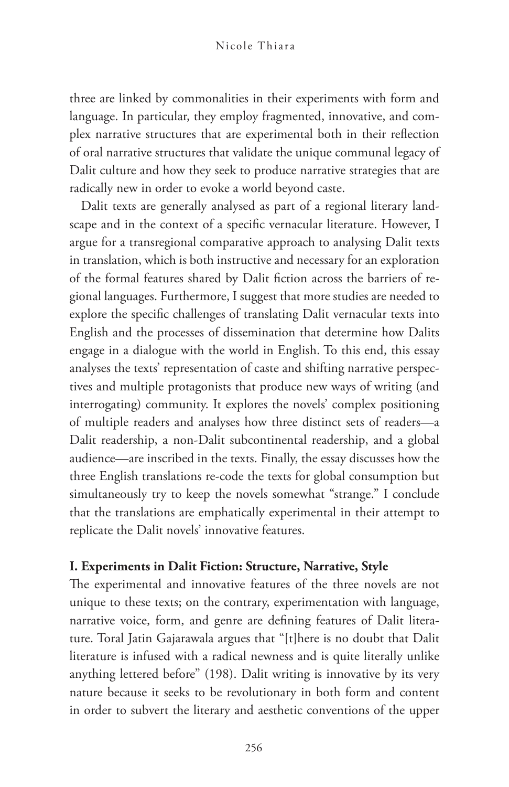three are linked by commonalities in their experiments with form and language. In particular, they employ fragmented, innovative, and complex narrative structures that are experimental both in their reflection of oral narrative structures that validate the unique communal legacy of Dalit culture and how they seek to produce narrative strategies that are radically new in order to evoke a world beyond caste.

Dalit texts are generally analysed as part of a regional literary landscape and in the context of a specific vernacular literature. However, I argue for a transregional comparative approach to analysing Dalit texts in translation, which is both instructive and necessary for an exploration of the formal features shared by Dalit fiction across the barriers of regional languages. Furthermore, I suggest that more studies are needed to explore the specific challenges of translating Dalit vernacular texts into English and the processes of dissemination that determine how Dalits engage in a dialogue with the world in English. To this end, this essay analyses the texts' representation of caste and shifting narrative perspectives and multiple protagonists that produce new ways of writing (and interrogating) community. It explores the novels' complex positioning of multiple readers and analyses how three distinct sets of readers—a Dalit readership, a non-Dalit subcontinental readership, and a global audience—are inscribed in the texts. Finally, the essay discusses how the three English translations re-code the texts for global consumption but simultaneously try to keep the novels somewhat "strange." I conclude that the translations are emphatically experimental in their attempt to replicate the Dalit novels' innovative features.

#### **I. Experiments in Dalit Fiction: Structure, Narrative, Style**

The experimental and innovative features of the three novels are not unique to these texts; on the contrary, experimentation with language, narrative voice, form, and genre are defining features of Dalit literature. Toral Jatin Gajarawala argues that "[t]here is no doubt that Dalit literature is infused with a radical newness and is quite literally unlike anything lettered before" (198). Dalit writing is innovative by its very nature because it seeks to be revolutionary in both form and content in order to subvert the literary and aesthetic conventions of the upper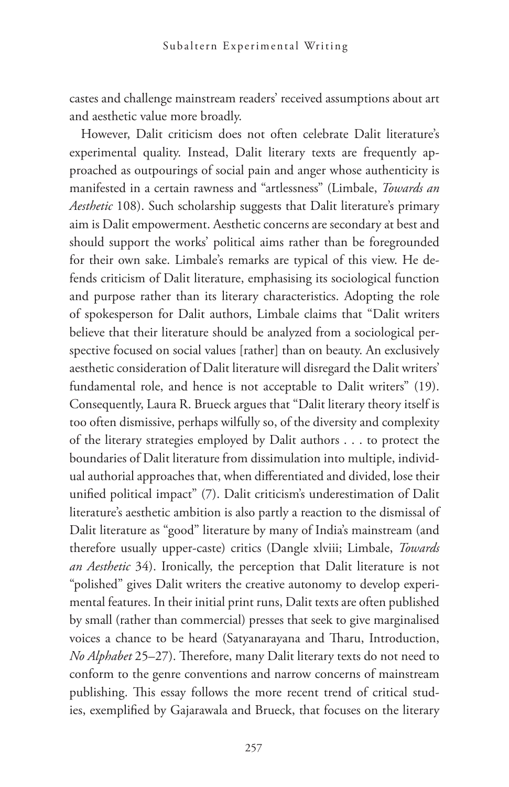castes and challenge mainstream readers' received assumptions about art and aesthetic value more broadly.

However, Dalit criticism does not often celebrate Dalit literature's experimental quality. Instead, Dalit literary texts are frequently approached as outpourings of social pain and anger whose authenticity is manifested in a certain rawness and "artlessness" (Limbale, *Towards an Aesthetic* 108). Such scholarship suggests that Dalit literature's primary aim is Dalit empowerment. Aesthetic concerns are secondary at best and should support the works' political aims rather than be foregrounded for their own sake. Limbale's remarks are typical of this view. He defends criticism of Dalit literature, emphasising its sociological function and purpose rather than its literary characteristics. Adopting the role of spokesperson for Dalit authors, Limbale claims that "Dalit writers believe that their literature should be analyzed from a sociological perspective focused on social values [rather] than on beauty. An exclusively aesthetic consideration of Dalit literature will disregard the Dalit writers' fundamental role, and hence is not acceptable to Dalit writers" (19). Consequently, Laura R. Brueck argues that "Dalit literary theory itself is too often dismissive, perhaps wilfully so, of the diversity and complexity of the literary strategies employed by Dalit authors . . . to protect the boundaries of Dalit literature from dissimulation into multiple, individual authorial approaches that, when differentiated and divided, lose their unified political impact" (7). Dalit criticism's underestimation of Dalit literature's aesthetic ambition is also partly a reaction to the dismissal of Dalit literature as "good" literature by many of India's mainstream (and therefore usually upper-caste) critics (Dangle xlviii; Limbale, *Towards an Aesthetic* 34). Ironically, the perception that Dalit literature is not "polished" gives Dalit writers the creative autonomy to develop experimental features. In their initial print runs, Dalit texts are often published by small (rather than commercial) presses that seek to give marginalised voices a chance to be heard (Satyanarayana and Tharu, Introduction, *No Alphabet* 25–27). Therefore, many Dalit literary texts do not need to conform to the genre conventions and narrow concerns of mainstream publishing. This essay follows the more recent trend of critical studies, exemplified by Gajarawala and Brueck, that focuses on the literary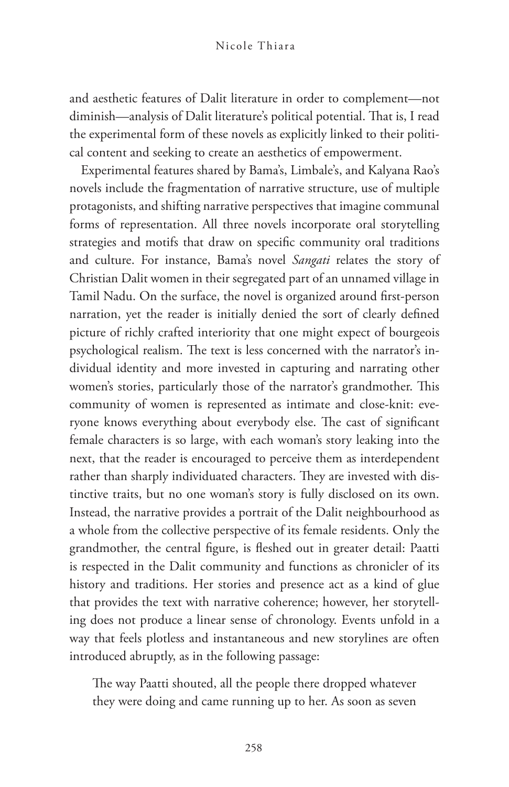and aesthetic features of Dalit literature in order to complement—not diminish—analysis of Dalit literature's political potential. That is, I read the experimental form of these novels as explicitly linked to their political content and seeking to create an aesthetics of empowerment.

Experimental features shared by Bama's, Limbale's, and Kalyana Rao's novels include the fragmentation of narrative structure, use of multiple protagonists, and shifting narrative perspectives that imagine communal forms of representation. All three novels incorporate oral storytelling strategies and motifs that draw on specific community oral traditions and culture. For instance, Bama's novel *Sangati* relates the story of Christian Dalit women in their segregated part of an unnamed village in Tamil Nadu. On the surface, the novel is organized around first-person narration, yet the reader is initially denied the sort of clearly defined picture of richly crafted interiority that one might expect of bourgeois psychological realism. The text is less concerned with the narrator's individual identity and more invested in capturing and narrating other women's stories, particularly those of the narrator's grandmother. This community of women is represented as intimate and close-knit: everyone knows everything about everybody else. The cast of significant female characters is so large, with each woman's story leaking into the next, that the reader is encouraged to perceive them as interdependent rather than sharply individuated characters. They are invested with distinctive traits, but no one woman's story is fully disclosed on its own. Instead, the narrative provides a portrait of the Dalit neighbourhood as a whole from the collective perspective of its female residents. Only the grandmother, the central figure, is fleshed out in greater detail: Paatti is respected in the Dalit community and functions as chronicler of its history and traditions. Her stories and presence act as a kind of glue that provides the text with narrative coherence; however, her storytelling does not produce a linear sense of chronology. Events unfold in a way that feels plotless and instantaneous and new storylines are often introduced abruptly, as in the following passage:

The way Paatti shouted, all the people there dropped whatever they were doing and came running up to her. As soon as seven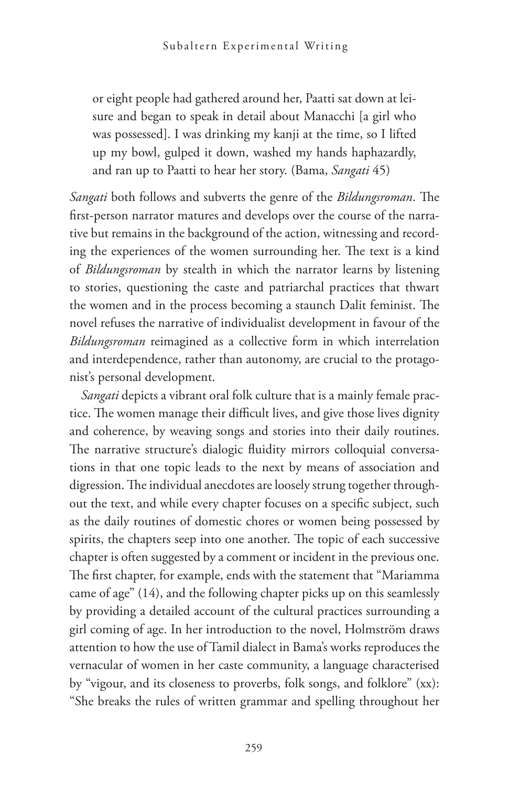or eight people had gathered around her, Paatti sat down at leisure and began to speak in detail about Manacchi [a girl who was possessed]. I was drinking my kanji at the time, so I lifted up my bowl, gulped it down, washed my hands haphazardly, and ran up to Paatti to hear her story. (Bama, *Sangati* 45)

*Sangati* both follows and subverts the genre of the *Bildungsroman*. The first-person narrator matures and develops over the course of the narrative but remains in the background of the action, witnessing and recording the experiences of the women surrounding her. The text is a kind of *Bildungsroman* by stealth in which the narrator learns by listening to stories, questioning the caste and patriarchal practices that thwart the women and in the process becoming a staunch Dalit feminist. The novel refuses the narrative of individualist development in favour of the *Bildungsroman* reimagined as a collective form in which interrelation and interdependence, rather than autonomy, are crucial to the protagonist's personal development.

*Sangati* depicts a vibrant oral folk culture that is a mainly female practice. The women manage their difficult lives, and give those lives dignity and coherence, by weaving songs and stories into their daily routines. The narrative structure's dialogic fluidity mirrors colloquial conversations in that one topic leads to the next by means of association and digression. The individual anecdotes are loosely strung together throughout the text, and while every chapter focuses on a specific subject, such as the daily routines of domestic chores or women being possessed by spirits, the chapters seep into one another. The topic of each successive chapter is often suggested by a comment or incident in the previous one. The first chapter, for example, ends with the statement that "Mariamma came of age" (14), and the following chapter picks up on this seamlessly by providing a detailed account of the cultural practices surrounding a girl coming of age. In her introduction to the novel, Holmström draws attention to how the use of Tamil dialect in Bama's works reproduces the vernacular of women in her caste community, a language characterised by "vigour, and its closeness to proverbs, folk songs, and folklore" (xx): "She breaks the rules of written grammar and spelling throughout her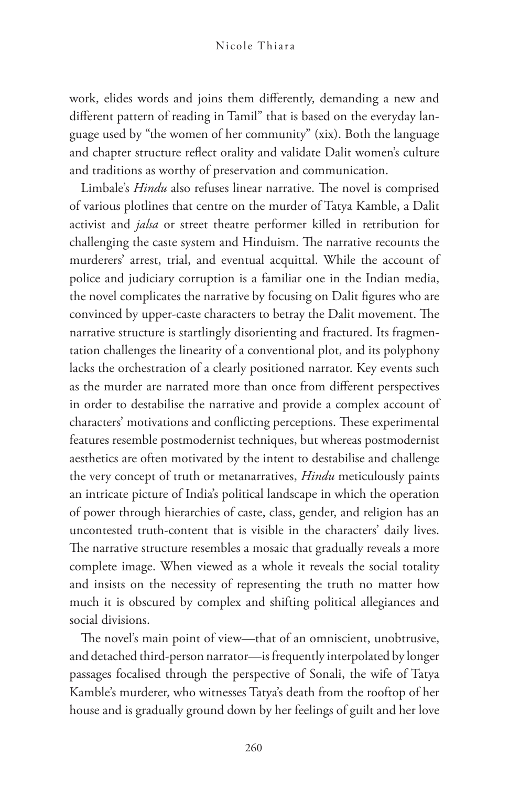work, elides words and joins them differently, demanding a new and different pattern of reading in Tamil" that is based on the everyday language used by "the women of her community" (xix). Both the language and chapter structure reflect orality and validate Dalit women's culture and traditions as worthy of preservation and communication.

Limbale's *Hindu* also refuses linear narrative. The novel is comprised of various plotlines that centre on the murder of Tatya Kamble, a Dalit activist and *jalsa* or street theatre performer killed in retribution for challenging the caste system and Hinduism. The narrative recounts the murderers' arrest, trial, and eventual acquittal. While the account of police and judiciary corruption is a familiar one in the Indian media, the novel complicates the narrative by focusing on Dalit figures who are convinced by upper-caste characters to betray the Dalit movement. The narrative structure is startlingly disorienting and fractured. Its fragmentation challenges the linearity of a conventional plot, and its polyphony lacks the orchestration of a clearly positioned narrator. Key events such as the murder are narrated more than once from different perspectives in order to destabilise the narrative and provide a complex account of characters' motivations and conflicting perceptions. These experimental features resemble postmodernist techniques, but whereas postmodernist aesthetics are often motivated by the intent to destabilise and challenge the very concept of truth or metanarratives, *Hindu* meticulously paints an intricate picture of India's political landscape in which the operation of power through hierarchies of caste, class, gender, and religion has an uncontested truth-content that is visible in the characters' daily lives. The narrative structure resembles a mosaic that gradually reveals a more complete image. When viewed as a whole it reveals the social totality and insists on the necessity of representing the truth no matter how much it is obscured by complex and shifting political allegiances and social divisions.

The novel's main point of view—that of an omniscient, unobtrusive, and detached third-person narrator—is frequently interpolated by longer passages focalised through the perspective of Sonali, the wife of Tatya Kamble's murderer, who witnesses Tatya's death from the rooftop of her house and is gradually ground down by her feelings of guilt and her love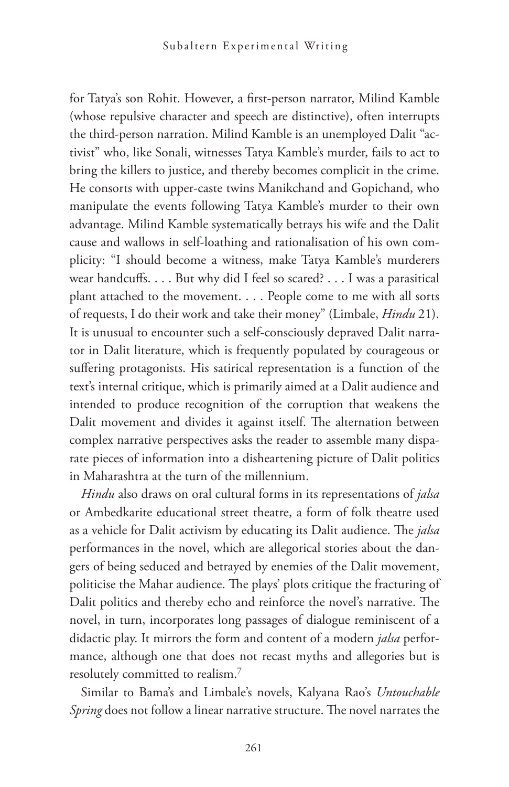for Tatya's son Rohit. However, a first-person narrator, Milind Kamble (whose repulsive character and speech are distinctive), often interrupts the third-person narration. Milind Kamble is an unemployed Dalit "activist" who, like Sonali, witnesses Tatya Kamble's murder, fails to act to bring the killers to justice, and thereby becomes complicit in the crime. He consorts with upper-caste twins Manikchand and Gopichand, who manipulate the events following Tatya Kamble's murder to their own advantage. Milind Kamble systematically betrays his wife and the Dalit cause and wallows in self-loathing and rationalisation of his own complicity: "I should become a witness, make Tatya Kamble's murderers wear handcuffs. . . . But why did I feel so scared? . . . I was a parasitical plant attached to the movement. . . . People come to me with all sorts of requests, I do their work and take their money" (Limbale, *Hindu* 21). It is unusual to encounter such a self-consciously depraved Dalit narrator in Dalit literature, which is frequently populated by courageous or suffering protagonists. His satirical representation is a function of the text's internal critique, which is primarily aimed at a Dalit audience and intended to produce recognition of the corruption that weakens the Dalit movement and divides it against itself. The alternation between complex narrative perspectives asks the reader to assemble many disparate pieces of information into a disheartening picture of Dalit politics in Maharashtra at the turn of the millennium.

*Hindu* also draws on oral cultural forms in its representations of *jalsa* or Ambedkarite educational street theatre, a form of folk theatre used as a vehicle for Dalit activism by educating its Dalit audience. The *jalsa* performances in the novel, which are allegorical stories about the dangers of being seduced and betrayed by enemies of the Dalit movement, politicise the Mahar audience. The plays' plots critique the fracturing of Dalit politics and thereby echo and reinforce the novel's narrative. The novel, in turn, incorporates long passages of dialogue reminiscent of a didactic play. It mirrors the form and content of a modern *jalsa* performance, although one that does not recast myths and allegories but is resolutely committed to realism.7

Similar to Bama's and Limbale's novels, Kalyana Rao's *Untouchable Spring* does not follow a linear narrative structure. The novel narrates the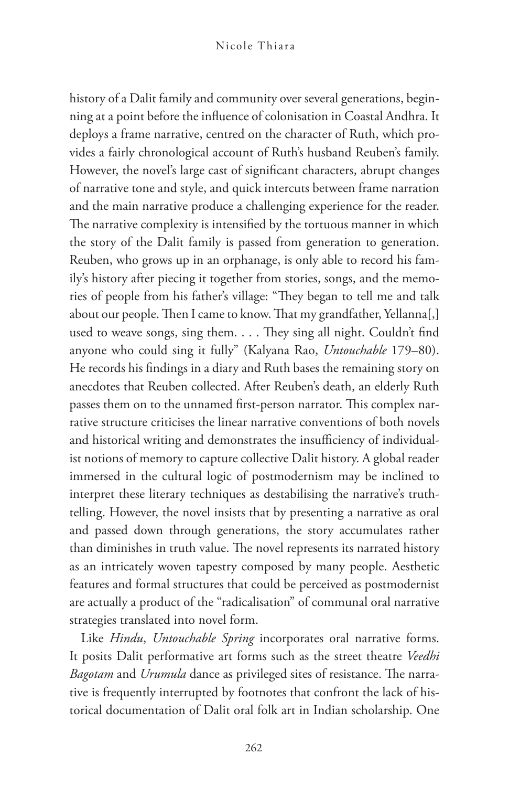history of a Dalit family and community over several generations, beginning at a point before the influence of colonisation in Coastal Andhra. It deploys a frame narrative, centred on the character of Ruth, which provides a fairly chronological account of Ruth's husband Reuben's family. However, the novel's large cast of significant characters, abrupt changes of narrative tone and style, and quick intercuts between frame narration and the main narrative produce a challenging experience for the reader. The narrative complexity is intensified by the tortuous manner in which the story of the Dalit family is passed from generation to generation. Reuben, who grows up in an orphanage, is only able to record his family's history after piecing it together from stories, songs, and the memories of people from his father's village: "They began to tell me and talk about our people. Then I came to know. That my grandfather, Yellanna[,] used to weave songs, sing them. . . . They sing all night. Couldn't find anyone who could sing it fully" (Kalyana Rao, *Untouchable* 179–80). He records his findings in a diary and Ruth bases the remaining story on anecdotes that Reuben collected. After Reuben's death, an elderly Ruth passes them on to the unnamed first-person narrator. This complex narrative structure criticises the linear narrative conventions of both novels and historical writing and demonstrates the insufficiency of individualist notions of memory to capture collective Dalit history. A global reader immersed in the cultural logic of postmodernism may be inclined to interpret these literary techniques as destabilising the narrative's truthtelling. However, the novel insists that by presenting a narrative as oral and passed down through generations, the story accumulates rather than diminishes in truth value. The novel represents its narrated history as an intricately woven tapestry composed by many people. Aesthetic features and formal structures that could be perceived as postmodernist are actually a product of the "radicalisation" of communal oral narrative strategies translated into novel form.

Like *Hindu*, *Untouchable Spring* incorporates oral narrative forms. It posits Dalit performative art forms such as the street theatre *Veedhi Bagotam* and *Urumula* dance as privileged sites of resistance. The narrative is frequently interrupted by footnotes that confront the lack of historical documentation of Dalit oral folk art in Indian scholarship. One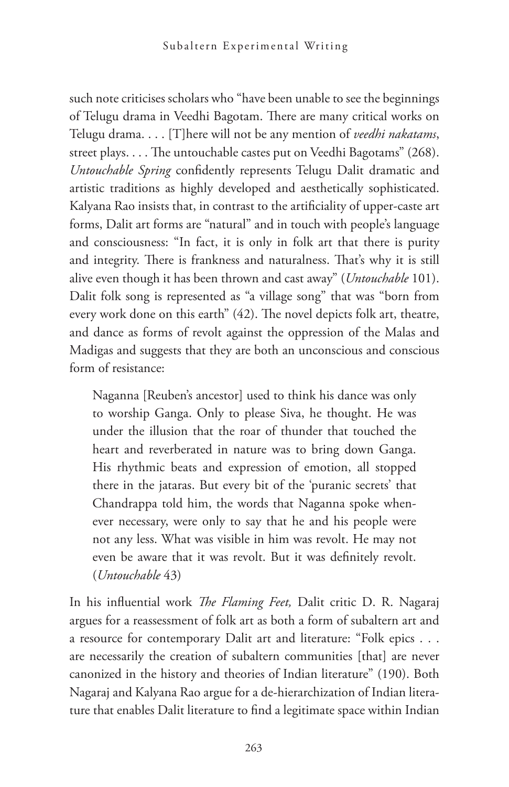such note criticises scholars who "have been unable to see the beginnings of Telugu drama in Veedhi Bagotam. There are many critical works on Telugu drama. . . . [T]here will not be any mention of *veedhi nakatams*, street plays. . . . The untouchable castes put on Veedhi Bagotams" (268). *Untouchable Spring* confidently represents Telugu Dalit dramatic and artistic traditions as highly developed and aesthetically sophisticated. Kalyana Rao insists that, in contrast to the artificiality of upper-caste art forms, Dalit art forms are "natural" and in touch with people's language and consciousness: "In fact, it is only in folk art that there is purity and integrity. There is frankness and naturalness. That's why it is still alive even though it has been thrown and cast away" (*Untouchable* 101). Dalit folk song is represented as "a village song" that was "born from every work done on this earth" (42). The novel depicts folk art, theatre, and dance as forms of revolt against the oppression of the Malas and Madigas and suggests that they are both an unconscious and conscious form of resistance:

Naganna [Reuben's ancestor] used to think his dance was only to worship Ganga. Only to please Siva, he thought. He was under the illusion that the roar of thunder that touched the heart and reverberated in nature was to bring down Ganga. His rhythmic beats and expression of emotion, all stopped there in the jataras. But every bit of the 'puranic secrets' that Chandrappa told him, the words that Naganna spoke whenever necessary, were only to say that he and his people were not any less. What was visible in him was revolt. He may not even be aware that it was revolt. But it was definitely revolt. (*Untouchable* 43)

In his influential work *The Flaming Feet,* Dalit critic D. R. Nagaraj argues for a reassessment of folk art as both a form of subaltern art and a resource for contemporary Dalit art and literature: "Folk epics . . . are necessarily the creation of subaltern communities [that] are never canonized in the history and theories of Indian literature" (190). Both Nagaraj and Kalyana Rao argue for a de-hierarchization of Indian literature that enables Dalit literature to find a legitimate space within Indian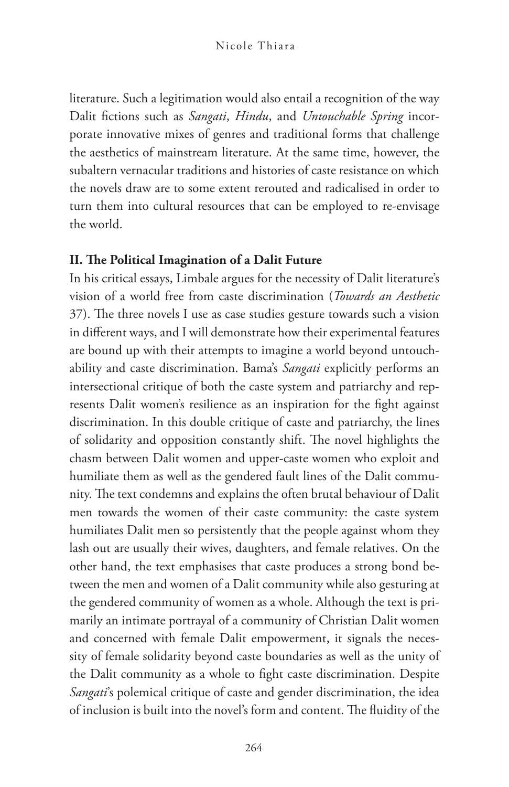literature. Such a legitimation would also entail a recognition of the way Dalit fictions such as *Sangati*, *Hindu*, and *Untouchable Spring* incorporate innovative mixes of genres and traditional forms that challenge the aesthetics of mainstream literature. At the same time, however, the subaltern vernacular traditions and histories of caste resistance on which the novels draw are to some extent rerouted and radicalised in order to turn them into cultural resources that can be employed to re-envisage the world.

## **II. The Political Imagination of a Dalit Future**

In his critical essays, Limbale argues for the necessity of Dalit literature's vision of a world free from caste discrimination (*Towards an Aesthetic* 37). The three novels I use as case studies gesture towards such a vision in different ways, and I will demonstrate how their experimental features are bound up with their attempts to imagine a world beyond untouchability and caste discrimination. Bama's *Sangati* explicitly performs an intersectional critique of both the caste system and patriarchy and represents Dalit women's resilience as an inspiration for the fight against discrimination. In this double critique of caste and patriarchy, the lines of solidarity and opposition constantly shift. The novel highlights the chasm between Dalit women and upper-caste women who exploit and humiliate them as well as the gendered fault lines of the Dalit community. The text condemns and explains the often brutal behaviour of Dalit men towards the women of their caste community: the caste system humiliates Dalit men so persistently that the people against whom they lash out are usually their wives, daughters, and female relatives. On the other hand, the text emphasises that caste produces a strong bond between the men and women of a Dalit community while also gesturing at the gendered community of women as a whole. Although the text is primarily an intimate portrayal of a community of Christian Dalit women and concerned with female Dalit empowerment, it signals the necessity of female solidarity beyond caste boundaries as well as the unity of the Dalit community as a whole to fight caste discrimination. Despite *Sangati*'s polemical critique of caste and gender discrimination, the idea of inclusion is built into the novel's form and content. The fluidity of the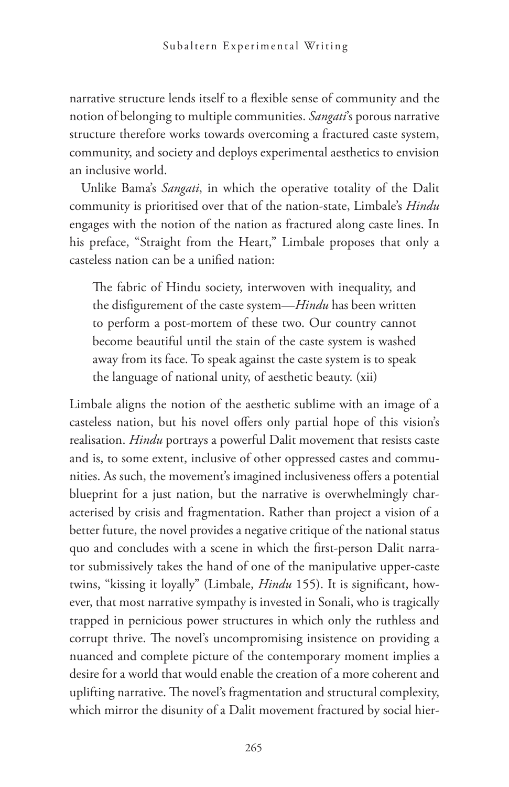narrative structure lends itself to a flexible sense of community and the notion of belonging to multiple communities. *Sangati*'s porous narrative structure therefore works towards overcoming a fractured caste system, community, and society and deploys experimental aesthetics to envision an inclusive world.

Unlike Bama's *Sangati*, in which the operative totality of the Dalit community is prioritised over that of the nation-state, Limbale's *Hindu* engages with the notion of the nation as fractured along caste lines. In his preface, "Straight from the Heart," Limbale proposes that only a casteless nation can be a unified nation:

The fabric of Hindu society, interwoven with inequality, and the disfigurement of the caste system—*Hindu* has been written to perform a post-mortem of these two. Our country cannot become beautiful until the stain of the caste system is washed away from its face. To speak against the caste system is to speak the language of national unity, of aesthetic beauty. (xii)

Limbale aligns the notion of the aesthetic sublime with an image of a casteless nation, but his novel offers only partial hope of this vision's realisation. *Hindu* portrays a powerful Dalit movement that resists caste and is, to some extent, inclusive of other oppressed castes and communities. As such, the movement's imagined inclusiveness offers a potential blueprint for a just nation, but the narrative is overwhelmingly characterised by crisis and fragmentation. Rather than project a vision of a better future, the novel provides a negative critique of the national status quo and concludes with a scene in which the first-person Dalit narrator submissively takes the hand of one of the manipulative upper-caste twins, "kissing it loyally" (Limbale, *Hindu* 155). It is significant, however, that most narrative sympathy is invested in Sonali, who is tragically trapped in pernicious power structures in which only the ruthless and corrupt thrive. The novel's uncompromising insistence on providing a nuanced and complete picture of the contemporary moment implies a desire for a world that would enable the creation of a more coherent and uplifting narrative. The novel's fragmentation and structural complexity, which mirror the disunity of a Dalit movement fractured by social hier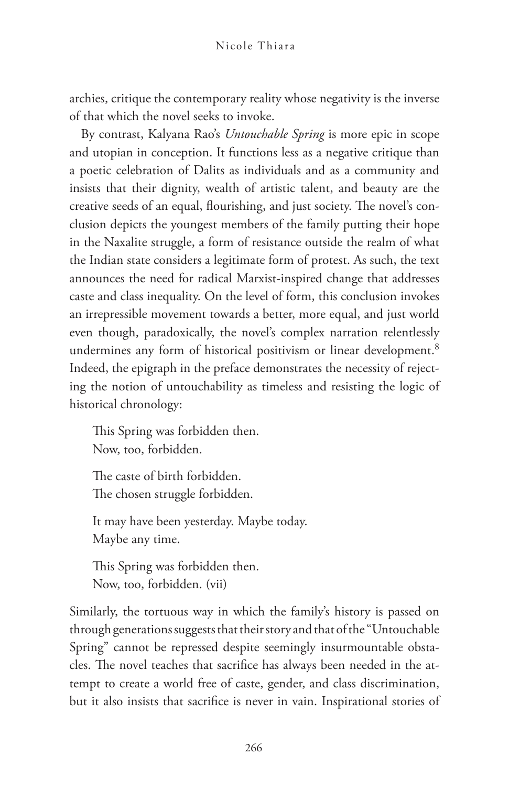archies, critique the contemporary reality whose negativity is the inverse of that which the novel seeks to invoke.

By contrast, Kalyana Rao's *Untouchable Spring* is more epic in scope and utopian in conception. It functions less as a negative critique than a poetic celebration of Dalits as individuals and as a community and insists that their dignity, wealth of artistic talent, and beauty are the creative seeds of an equal, flourishing, and just society. The novel's conclusion depicts the youngest members of the family putting their hope in the Naxalite struggle, a form of resistance outside the realm of what the Indian state considers a legitimate form of protest. As such, the text announces the need for radical Marxist-inspired change that addresses caste and class inequality. On the level of form, this conclusion invokes an irrepressible movement towards a better, more equal, and just world even though, paradoxically, the novel's complex narration relentlessly undermines any form of historical positivism or linear development.<sup>8</sup> Indeed, the epigraph in the preface demonstrates the necessity of rejecting the notion of untouchability as timeless and resisting the logic of historical chronology:

This Spring was forbidden then. Now, too, forbidden.

The caste of birth forbidden. The chosen struggle forbidden.

It may have been yesterday. Maybe today. Maybe any time.

This Spring was forbidden then. Now, too, forbidden. (vii)

Similarly, the tortuous way in which the family's history is passed on through generations suggests that their story and that of the "Untouchable Spring" cannot be repressed despite seemingly insurmountable obstacles. The novel teaches that sacrifice has always been needed in the attempt to create a world free of caste, gender, and class discrimination, but it also insists that sacrifice is never in vain. Inspirational stories of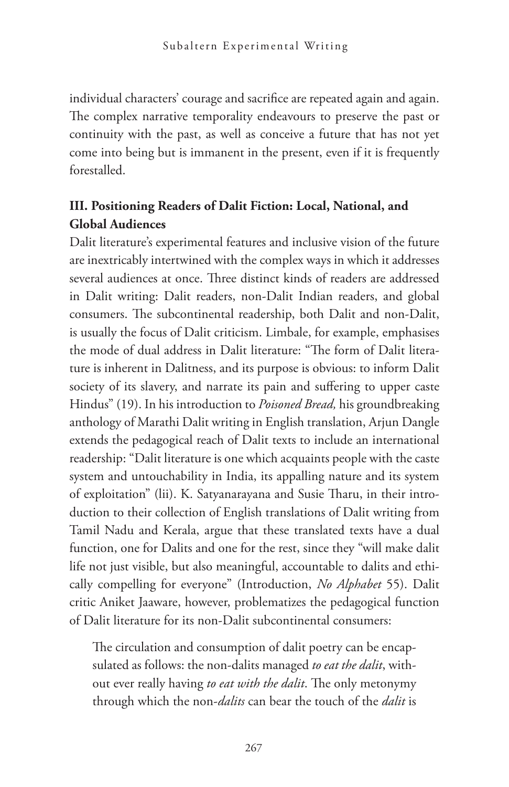individual characters' courage and sacrifice are repeated again and again. The complex narrative temporality endeavours to preserve the past or continuity with the past, as well as conceive a future that has not yet come into being but is immanent in the present, even if it is frequently forestalled.

## **III. Positioning Readers of Dalit Fiction: Local, National, and Global Audiences**

Dalit literature's experimental features and inclusive vision of the future are inextricably intertwined with the complex ways in which it addresses several audiences at once. Three distinct kinds of readers are addressed in Dalit writing: Dalit readers, non-Dalit Indian readers, and global consumers. The subcontinental readership, both Dalit and non-Dalit, is usually the focus of Dalit criticism. Limbale, for example, emphasises the mode of dual address in Dalit literature: "The form of Dalit literature is inherent in Dalitness, and its purpose is obvious: to inform Dalit society of its slavery, and narrate its pain and suffering to upper caste Hindus" (19). In his introduction to *Poisoned Bread,* his groundbreaking anthology of Marathi Dalit writing in English translation, Arjun Dangle extends the pedagogical reach of Dalit texts to include an international readership: "Dalit literature is one which acquaints people with the caste system and untouchability in India, its appalling nature and its system of exploitation" (lii). K. Satyanarayana and Susie Tharu, in their introduction to their collection of English translations of Dalit writing from Tamil Nadu and Kerala, argue that these translated texts have a dual function, one for Dalits and one for the rest, since they "will make dalit life not just visible, but also meaningful, accountable to dalits and ethically compelling for everyone" (Introduction, *No Alphabet* 55). Dalit critic Aniket Jaaware, however, problematizes the pedagogical function of Dalit literature for its non-Dalit subcontinental consumers:

The circulation and consumption of dalit poetry can be encapsulated as follows: the non-dalits managed *to eat the dalit*, without ever really having *to eat with the dalit*. The only metonymy through which the non-*dalits* can bear the touch of the *dalit* is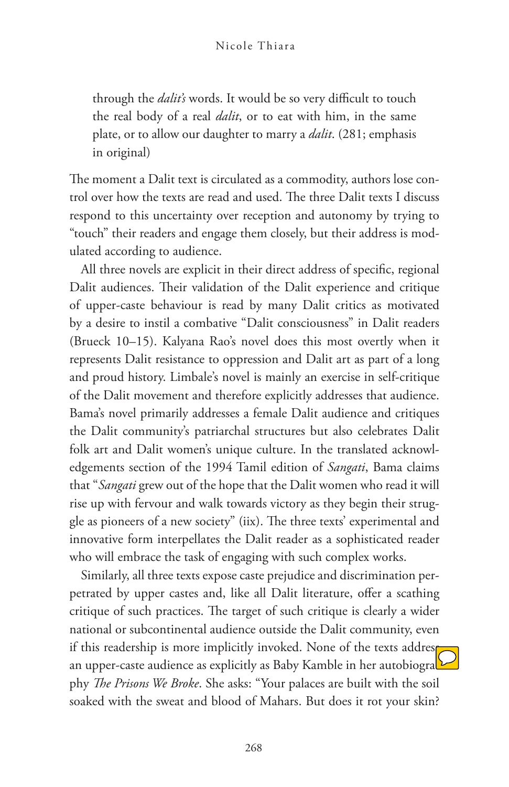through the *dalit's* words. It would be so very difficult to touch the real body of a real *dalit*, or to eat with him, in the same plate, or to allow our daughter to marry a *dalit*. (281; emphasis in original)

The moment a Dalit text is circulated as a commodity, authors lose control over how the texts are read and used. The three Dalit texts I discuss respond to this uncertainty over reception and autonomy by trying to "touch" their readers and engage them closely, but their address is modulated according to audience.

All three novels are explicit in their direct address of specific, regional Dalit audiences. Their validation of the Dalit experience and critique of upper-caste behaviour is read by many Dalit critics as motivated by a desire to instil a combative "Dalit consciousness" in Dalit readers (Brueck 10–15). Kalyana Rao's novel does this most overtly when it represents Dalit resistance to oppression and Dalit art as part of a long and proud history. Limbale's novel is mainly an exercise in self-critique of the Dalit movement and therefore explicitly addresses that audience. Bama's novel primarily addresses a female Dalit audience and critiques the Dalit community's patriarchal structures but also celebrates Dalit folk art and Dalit women's unique culture. In the translated acknowledgements section of the 1994 Tamil edition of *Sangati*, Bama claims that "*Sangati* grew out of the hope that the Dalit women who read it will rise up with fervour and walk towards victory as they begin their struggle as pioneers of a new society" (iix). The three texts' experimental and innovative form interpellates the Dalit reader as a sophisticated reader who will embrace the task of engaging with such complex works.

Similarly, all three texts expose caste prejudice and discrimination perpetrated by upper castes and, like all Dalit literature, offer a scathing critique of such practices. The target of such critique is clearly a wider national or subcontinental audience outside the Dalit community, even if this readership is more implicitly invoked. None of the texts address an upper-caste audience as explicitly as Baby Kamble in her autobiogra $\sum$ phy *The Prisons We Broke*. She asks: "Your palaces are built with the soil soaked with the sweat and blood of Mahars. But does it rot your skin?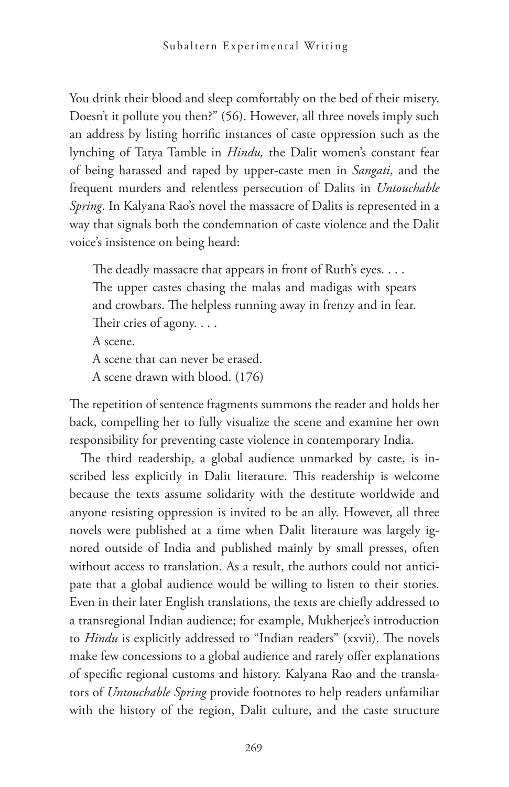You drink their blood and sleep comfortably on the bed of their misery. Doesn't it pollute you then?" (56). However, all three novels imply such an address by listing horrific instances of caste oppression such as the lynching of Tatya Tamble in *Hindu,* the Dalit women's constant fear of being harassed and raped by upper-caste men in *Sangati*, and the frequent murders and relentless persecution of Dalits in *Untouchable Spring*. In Kalyana Rao's novel the massacre of Dalits is represented in a way that signals both the condemnation of caste violence and the Dalit voice's insistence on being heard:

The deadly massacre that appears in front of Ruth's eyes. . . .

The upper castes chasing the malas and madigas with spears and crowbars. The helpless running away in frenzy and in fear. Their cries of agony. . . .

A scene.

A scene that can never be erased.

A scene drawn with blood. (176)

The repetition of sentence fragments summons the reader and holds her back, compelling her to fully visualize the scene and examine her own responsibility for preventing caste violence in contemporary India.

The third readership, a global audience unmarked by caste, is inscribed less explicitly in Dalit literature. This readership is welcome because the texts assume solidarity with the destitute worldwide and anyone resisting oppression is invited to be an ally. However, all three novels were published at a time when Dalit literature was largely ignored outside of India and published mainly by small presses, often without access to translation. As a result, the authors could not anticipate that a global audience would be willing to listen to their stories. Even in their later English translations, the texts are chiefly addressed to a transregional Indian audience; for example, Mukherjee's introduction to *Hindu* is explicitly addressed to "Indian readers" (xxvii). The novels make few concessions to a global audience and rarely offer explanations of specific regional customs and history. Kalyana Rao and the translators of *Untouchable Spring* provide footnotes to help readers unfamiliar with the history of the region, Dalit culture, and the caste structure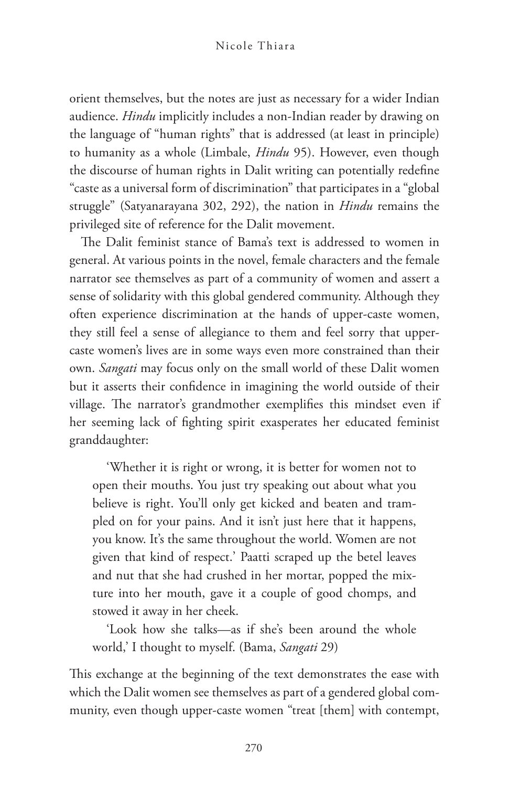orient themselves, but the notes are just as necessary for a wider Indian audience. *Hindu* implicitly includes a non-Indian reader by drawing on the language of "human rights" that is addressed (at least in principle) to humanity as a whole (Limbale, *Hindu* 95). However, even though the discourse of human rights in Dalit writing can potentially redefine "caste as a universal form of discrimination" that participates in a "global struggle" (Satyanarayana 302, 292), the nation in *Hindu* remains the privileged site of reference for the Dalit movement.

The Dalit feminist stance of Bama's text is addressed to women in general. At various points in the novel, female characters and the female narrator see themselves as part of a community of women and assert a sense of solidarity with this global gendered community. Although they often experience discrimination at the hands of upper-caste women, they still feel a sense of allegiance to them and feel sorry that uppercaste women's lives are in some ways even more constrained than their own. *Sangati* may focus only on the small world of these Dalit women but it asserts their confidence in imagining the world outside of their village. The narrator's grandmother exemplifies this mindset even if her seeming lack of fighting spirit exasperates her educated feminist granddaughter:

'Whether it is right or wrong, it is better for women not to open their mouths. You just try speaking out about what you believe is right. You'll only get kicked and beaten and trampled on for your pains. And it isn't just here that it happens, you know. It's the same throughout the world. Women are not given that kind of respect.' Paatti scraped up the betel leaves and nut that she had crushed in her mortar, popped the mixture into her mouth, gave it a couple of good chomps, and stowed it away in her cheek.

'Look how she talks—as if she's been around the whole world,' I thought to myself. (Bama, *Sangati* 29)

This exchange at the beginning of the text demonstrates the ease with which the Dalit women see themselves as part of a gendered global community, even though upper-caste women "treat [them] with contempt,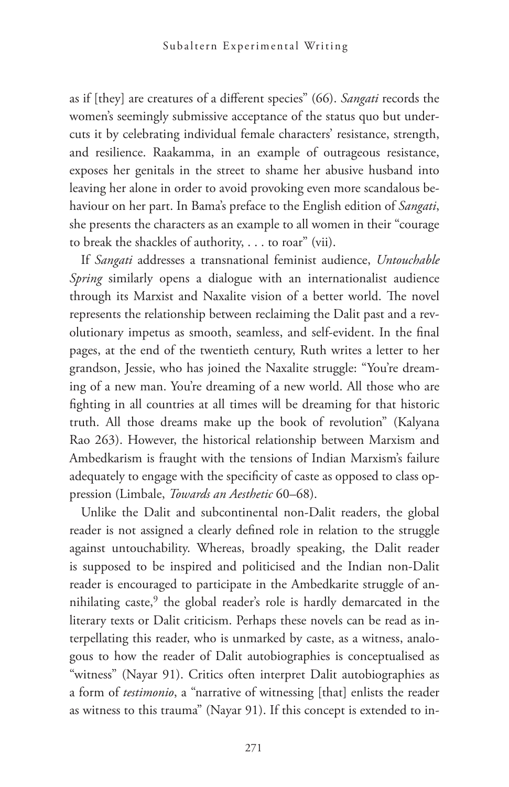as if [they] are creatures of a different species" (66). *Sangati* records the women's seemingly submissive acceptance of the status quo but undercuts it by celebrating individual female characters' resistance, strength, and resilience. Raakamma, in an example of outrageous resistance, exposes her genitals in the street to shame her abusive husband into leaving her alone in order to avoid provoking even more scandalous behaviour on her part. In Bama's preface to the English edition of *Sangati*, she presents the characters as an example to all women in their "courage to break the shackles of authority, . . . to roar" (vii).

If *Sangati* addresses a transnational feminist audience, *Untouchable Spring* similarly opens a dialogue with an internationalist audience through its Marxist and Naxalite vision of a better world. The novel represents the relationship between reclaiming the Dalit past and a revolutionary impetus as smooth, seamless, and self-evident. In the final pages, at the end of the twentieth century, Ruth writes a letter to her grandson, Jessie, who has joined the Naxalite struggle: "You're dreaming of a new man. You're dreaming of a new world. All those who are fighting in all countries at all times will be dreaming for that historic truth. All those dreams make up the book of revolution" (Kalyana Rao 263). However, the historical relationship between Marxism and Ambedkarism is fraught with the tensions of Indian Marxism's failure adequately to engage with the specificity of caste as opposed to class oppression (Limbale, *Towards an Aesthetic* 60–68).

Unlike the Dalit and subcontinental non-Dalit readers, the global reader is not assigned a clearly defined role in relation to the struggle against untouchability. Whereas, broadly speaking, the Dalit reader is supposed to be inspired and politicised and the Indian non-Dalit reader is encouraged to participate in the Ambedkarite struggle of annihilating caste, $9$  the global reader's role is hardly demarcated in the literary texts or Dalit criticism. Perhaps these novels can be read as interpellating this reader, who is unmarked by caste, as a witness, analogous to how the reader of Dalit autobiographies is conceptualised as "witness" (Nayar 91). Critics often interpret Dalit autobiographies as a form of *testimonio*, a "narrative of witnessing [that] enlists the reader as witness to this trauma" (Nayar 91). If this concept is extended to in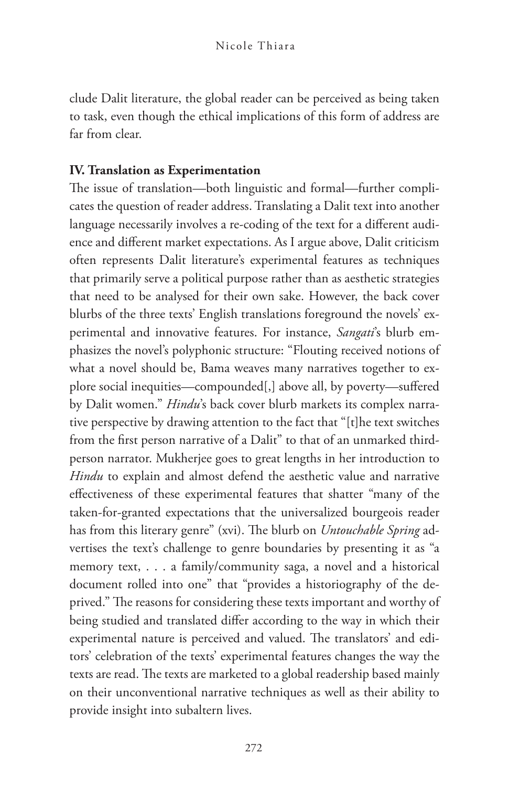clude Dalit literature, the global reader can be perceived as being taken to task, even though the ethical implications of this form of address are far from clear.

## **IV. Translation as Experimentation**

The issue of translation—both linguistic and formal—further complicates the question of reader address. Translating a Dalit text into another language necessarily involves a re-coding of the text for a different audience and different market expectations. As I argue above, Dalit criticism often represents Dalit literature's experimental features as techniques that primarily serve a political purpose rather than as aesthetic strategies that need to be analysed for their own sake. However, the back cover blurbs of the three texts' English translations foreground the novels' experimental and innovative features. For instance, *Sangati*'s blurb emphasizes the novel's polyphonic structure: "Flouting received notions of what a novel should be, Bama weaves many narratives together to explore social inequities—compounded[,] above all, by poverty—suffered by Dalit women." *Hindu*'s back cover blurb markets its complex narrative perspective by drawing attention to the fact that "[t]he text switches from the first person narrative of a Dalit" to that of an unmarked thirdperson narrator. Mukherjee goes to great lengths in her introduction to *Hindu* to explain and almost defend the aesthetic value and narrative effectiveness of these experimental features that shatter "many of the taken-for-granted expectations that the universalized bourgeois reader has from this literary genre" (xvi). The blurb on *Untouchable Spring* advertises the text's challenge to genre boundaries by presenting it as "a memory text, . . . a family/community saga, a novel and a historical document rolled into one" that "provides a historiography of the deprived." The reasons for considering these texts important and worthy of being studied and translated differ according to the way in which their experimental nature is perceived and valued. The translators' and editors' celebration of the texts' experimental features changes the way the texts are read. The texts are marketed to a global readership based mainly on their unconventional narrative techniques as well as their ability to provide insight into subaltern lives.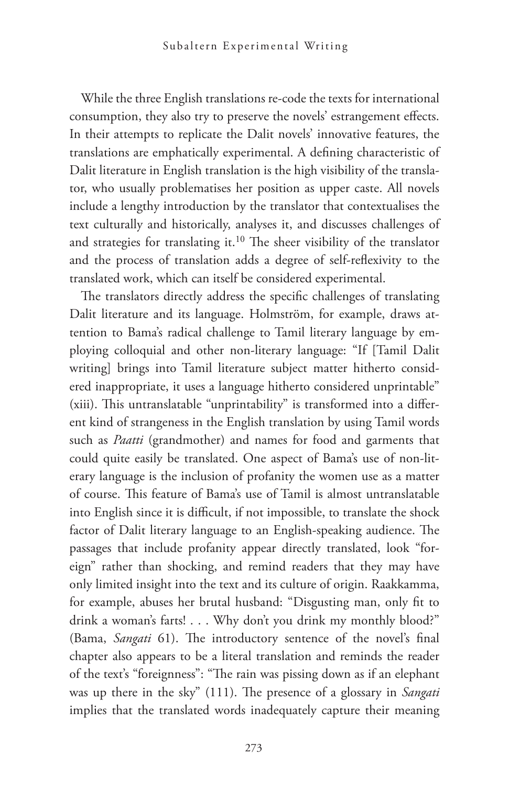While the three English translations re-code the texts for international consumption, they also try to preserve the novels' estrangement effects. In their attempts to replicate the Dalit novels' innovative features, the translations are emphatically experimental. A defining characteristic of Dalit literature in English translation is the high visibility of the translator, who usually problematises her position as upper caste. All novels include a lengthy introduction by the translator that contextualises the text culturally and historically, analyses it, and discusses challenges of and strategies for translating it.<sup>10</sup> The sheer visibility of the translator and the process of translation adds a degree of self-reflexivity to the translated work, which can itself be considered experimental.

The translators directly address the specific challenges of translating Dalit literature and its language. Holmström, for example, draws attention to Bama's radical challenge to Tamil literary language by employing colloquial and other non-literary language: "If [Tamil Dalit writing] brings into Tamil literature subject matter hitherto considered inappropriate, it uses a language hitherto considered unprintable" (xiii). This untranslatable "unprintability" is transformed into a different kind of strangeness in the English translation by using Tamil words such as *Paatti* (grandmother) and names for food and garments that could quite easily be translated. One aspect of Bama's use of non-literary language is the inclusion of profanity the women use as a matter of course. This feature of Bama's use of Tamil is almost untranslatable into English since it is difficult, if not impossible, to translate the shock factor of Dalit literary language to an English-speaking audience. The passages that include profanity appear directly translated, look "foreign" rather than shocking, and remind readers that they may have only limited insight into the text and its culture of origin. Raakkamma, for example, abuses her brutal husband: "Disgusting man, only fit to drink a woman's farts! . . . Why don't you drink my monthly blood?" (Bama, *Sangati* 61). The introductory sentence of the novel's final chapter also appears to be a literal translation and reminds the reader of the text's "foreignness": "The rain was pissing down as if an elephant was up there in the sky" (111). The presence of a glossary in *Sangati* implies that the translated words inadequately capture their meaning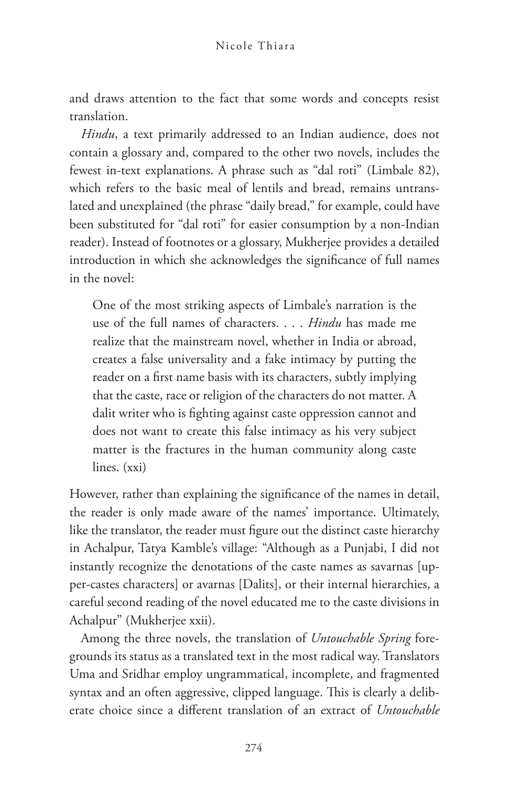and draws attention to the fact that some words and concepts resist translation.

*Hindu*, a text primarily addressed to an Indian audience, does not contain a glossary and, compared to the other two novels, includes the fewest in-text explanations. A phrase such as "dal roti" (Limbale 82), which refers to the basic meal of lentils and bread, remains untranslated and unexplained (the phrase "daily bread," for example, could have been substituted for "dal roti" for easier consumption by a non-Indian reader). Instead of footnotes or a glossary, Mukherjee provides a detailed introduction in which she acknowledges the significance of full names in the novel:

One of the most striking aspects of Limbale's narration is the use of the full names of characters. . . . *Hindu* has made me realize that the mainstream novel, whether in India or abroad, creates a false universality and a fake intimacy by putting the reader on a first name basis with its characters, subtly implying that the caste, race or religion of the characters do not matter. A dalit writer who is fighting against caste oppression cannot and does not want to create this false intimacy as his very subject matter is the fractures in the human community along caste lines. (xxi)

However, rather than explaining the significance of the names in detail, the reader is only made aware of the names' importance. Ultimately, like the translator, the reader must figure out the distinct caste hierarchy in Achalpur, Tatya Kamble's village: "Although as a Punjabi, I did not instantly recognize the denotations of the caste names as savarnas [upper-castes characters] or avarnas [Dalits], or their internal hierarchies, a careful second reading of the novel educated me to the caste divisions in Achalpur" (Mukherjee xxii).

Among the three novels, the translation of *Untouchable Spring* foregrounds its status as a translated text in the most radical way. Translators Uma and Sridhar employ ungrammatical, incomplete, and fragmented syntax and an often aggressive, clipped language. This is clearly a deliberate choice since a different translation of an extract of *Untouchable*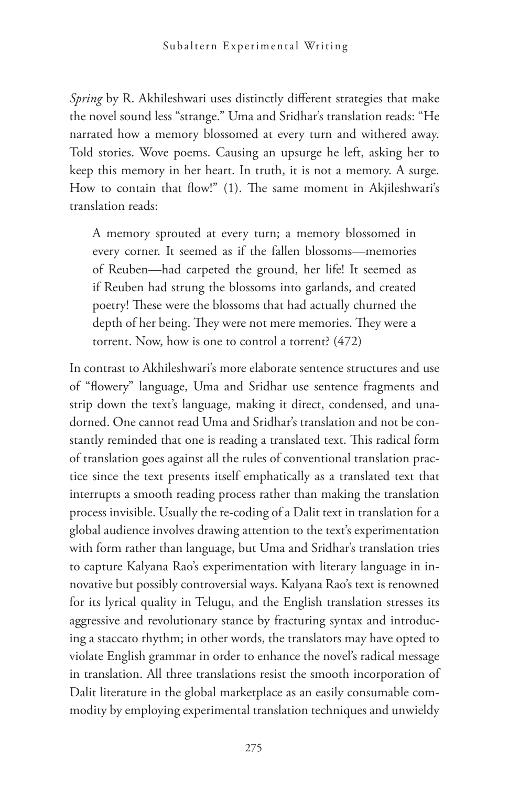*Spring* by R. Akhileshwari uses distinctly different strategies that make the novel sound less "strange." Uma and Sridhar's translation reads: "He narrated how a memory blossomed at every turn and withered away. Told stories. Wove poems. Causing an upsurge he left, asking her to keep this memory in her heart. In truth, it is not a memory. A surge. How to contain that flow!" (1). The same moment in Akjileshwari's translation reads:

A memory sprouted at every turn; a memory blossomed in every corner. It seemed as if the fallen blossoms—memories of Reuben—had carpeted the ground, her life! It seemed as if Reuben had strung the blossoms into garlands, and created poetry! These were the blossoms that had actually churned the depth of her being. They were not mere memories. They were a torrent. Now, how is one to control a torrent? (472)

In contrast to Akhileshwari's more elaborate sentence structures and use of "flowery" language, Uma and Sridhar use sentence fragments and strip down the text's language, making it direct, condensed, and unadorned. One cannot read Uma and Sridhar's translation and not be constantly reminded that one is reading a translated text. This radical form of translation goes against all the rules of conventional translation practice since the text presents itself emphatically as a translated text that interrupts a smooth reading process rather than making the translation process invisible. Usually the re-coding of a Dalit text in translation for a global audience involves drawing attention to the text's experimentation with form rather than language, but Uma and Sridhar's translation tries to capture Kalyana Rao's experimentation with literary language in innovative but possibly controversial ways. Kalyana Rao's text is renowned for its lyrical quality in Telugu, and the English translation stresses its aggressive and revolutionary stance by fracturing syntax and introducing a staccato rhythm; in other words, the translators may have opted to violate English grammar in order to enhance the novel's radical message in translation. All three translations resist the smooth incorporation of Dalit literature in the global marketplace as an easily consumable commodity by employing experimental translation techniques and unwieldy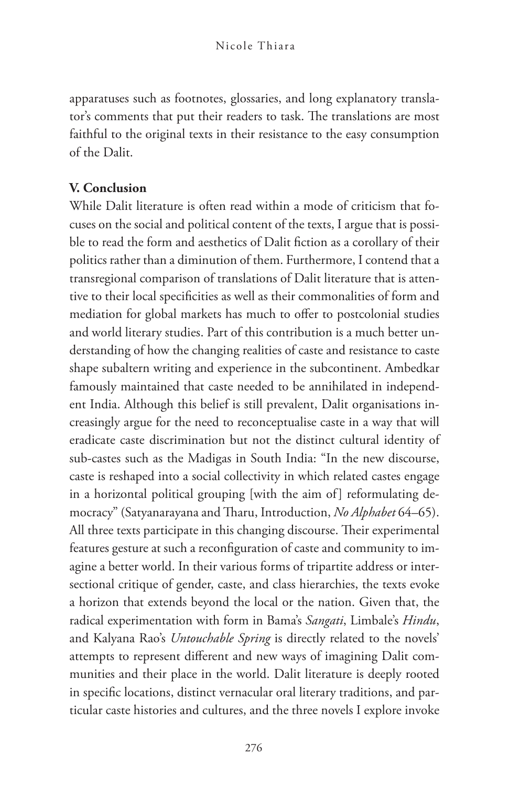apparatuses such as footnotes, glossaries, and long explanatory translator's comments that put their readers to task. The translations are most faithful to the original texts in their resistance to the easy consumption of the Dalit.

## **V. Conclusion**

While Dalit literature is often read within a mode of criticism that focuses on the social and political content of the texts, I argue that is possible to read the form and aesthetics of Dalit fiction as a corollary of their politics rather than a diminution of them. Furthermore, I contend that a transregional comparison of translations of Dalit literature that is attentive to their local specificities as well as their commonalities of form and mediation for global markets has much to offer to postcolonial studies and world literary studies. Part of this contribution is a much better understanding of how the changing realities of caste and resistance to caste shape subaltern writing and experience in the subcontinent. Ambedkar famously maintained that caste needed to be annihilated in independent India. Although this belief is still prevalent, Dalit organisations increasingly argue for the need to reconceptualise caste in a way that will eradicate caste discrimination but not the distinct cultural identity of sub-castes such as the Madigas in South India: "In the new discourse, caste is reshaped into a social collectivity in which related castes engage in a horizontal political grouping [with the aim of] reformulating democracy" (Satyanarayana and Tharu, Introduction, *No Alphabet* 64–65). All three texts participate in this changing discourse. Their experimental features gesture at such a reconfiguration of caste and community to imagine a better world. In their various forms of tripartite address or intersectional critique of gender, caste, and class hierarchies, the texts evoke a horizon that extends beyond the local or the nation. Given that, the radical experimentation with form in Bama's *Sangati*, Limbale's *Hindu*, and Kalyana Rao's *Untouchable Spring* is directly related to the novels' attempts to represent different and new ways of imagining Dalit communities and their place in the world. Dalit literature is deeply rooted in specific locations, distinct vernacular oral literary traditions, and particular caste histories and cultures, and the three novels I explore invoke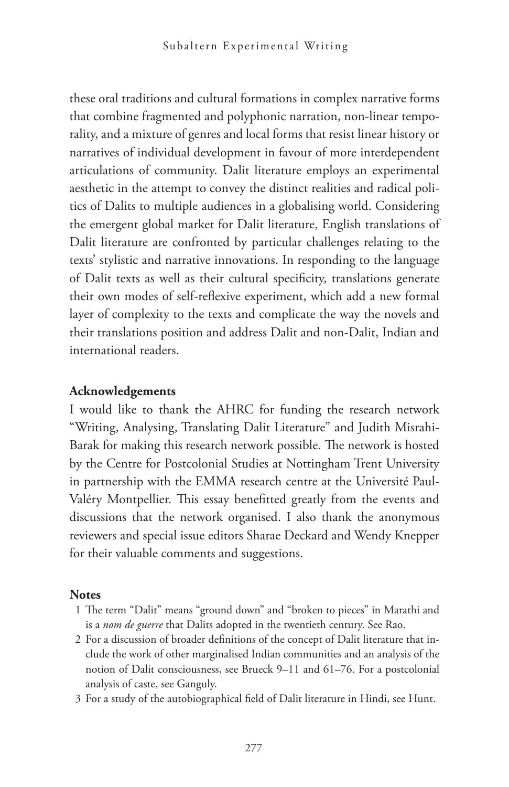these oral traditions and cultural formations in complex narrative forms that combine fragmented and polyphonic narration, non-linear temporality, and a mixture of genres and local forms that resist linear history or narratives of individual development in favour of more interdependent articulations of community. Dalit literature employs an experimental aesthetic in the attempt to convey the distinct realities and radical politics of Dalits to multiple audiences in a globalising world. Considering the emergent global market for Dalit literature, English translations of Dalit literature are confronted by particular challenges relating to the texts' stylistic and narrative innovations. In responding to the language of Dalit texts as well as their cultural specificity, translations generate their own modes of self-reflexive experiment, which add a new formal layer of complexity to the texts and complicate the way the novels and their translations position and address Dalit and non-Dalit, Indian and international readers.

#### **Acknowledgements**

I would like to thank the AHRC for funding the research network "Writing, Analysing, Translating Dalit Literature" and Judith Misrahi-Barak for making this research network possible. The network is hosted by the Centre for Postcolonial Studies at Nottingham Trent University in partnership with the EMMA research centre at the Université Paul-Valéry Montpellier. This essay benefitted greatly from the events and discussions that the network organised. I also thank the anonymous reviewers and special issue editors Sharae Deckard and Wendy Knepper for their valuable comments and suggestions.

#### **Notes**

- 1 The term "Dalit" means "ground down" and "broken to pieces" in Marathi and is a *nom de guerre* that Dalits adopted in the twentieth century. See Rao.
- 2 For a discussion of broader definitions of the concept of Dalit literature that include the work of other marginalised Indian communities and an analysis of the notion of Dalit consciousness, see Brueck 9–11 and 61–76. For a postcolonial analysis of caste, see Ganguly.
- 3 For a study of the autobiographical field of Dalit literature in Hindi, see Hunt.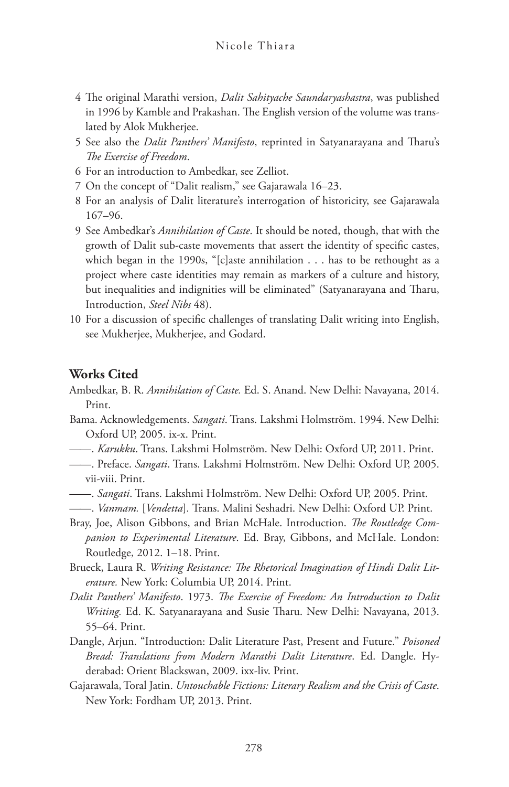- 4 The original Marathi version, *Dalit Sahityache Saundaryashastra*, was published in 1996 by Kamble and Prakashan. The English version of the volume was translated by Alok Mukherjee.
- 5 See also the *Dalit Panthers' Manifesto*, reprinted in Satyanarayana and Tharu's *The Exercise of Freedom*.
- 6 For an introduction to Ambedkar, see Zelliot.
- 7 On the concept of "Dalit realism," see Gajarawala 16–23.
- 8 For an analysis of Dalit literature's interrogation of historicity, see Gajarawala 167–96.
- 9 See Ambedkar's *Annihilation of Caste*. It should be noted, though, that with the growth of Dalit sub-caste movements that assert the identity of specific castes, which began in the 1990s, "[c]aste annihilation . . . has to be rethought as a project where caste identities may remain as markers of a culture and history, but inequalities and indignities will be eliminated" (Satyanarayana and Tharu, Introduction, *Steel Nibs* 48).
- 10 For a discussion of specific challenges of translating Dalit writing into English, see Mukherjee, Mukherjee, and Godard.

#### **Works Cited**

- Ambedkar, B. R. *Annihilation of Caste.* Ed. S. Anand. New Delhi: Navayana, 2014. Print.
- Bama. Acknowledgements. *Sangati*. Trans. Lakshmi Holmström. 1994. New Delhi: Oxford UP, 2005. ix-x. Print.
- ——. *Karukku*. Trans. Lakshmi Holmström. New Delhi: Oxford UP, 2011. Print.
- ——. Preface. *Sangati*. Trans. Lakshmi Holmström. New Delhi: Oxford UP, 2005. vii-viii. Print.
- ——. *Sangati*. Trans. Lakshmi Holmström. New Delhi: Oxford UP, 2005. Print.
- ——. *Vanmam.* [*Vendetta*]*.* Trans. Malini Seshadri. New Delhi: Oxford UP. Print.
- Bray, Joe, Alison Gibbons, and Brian McHale. Introduction. *The Routledge Companion to Experimental Literature*. Ed. Bray, Gibbons, and McHale. London: Routledge, 2012. 1–18. Print.
- Brueck, Laura R. *Writing Resistance: The Rhetorical Imagination of Hindi Dalit Literature.* New York: Columbia UP, 2014. Print.
- *Dalit Panthers' Manifesto*. 1973. *The Exercise of Freedom: An Introduction to Dalit Writing.* Ed. K. Satyanarayana and Susie Tharu. New Delhi: Navayana, 2013. 55–64. Print.
- Dangle, Arjun. "Introduction: Dalit Literature Past, Present and Future." *Poisoned Bread: Translations from Modern Marathi Dalit Literature*. Ed. Dangle. Hyderabad: Orient Blackswan, 2009. ixx-liv. Print.
- Gajarawala, Toral Jatin. *Untouchable Fictions: Literary Realism and the Crisis of Caste*. New York: Fordham UP, 2013. Print.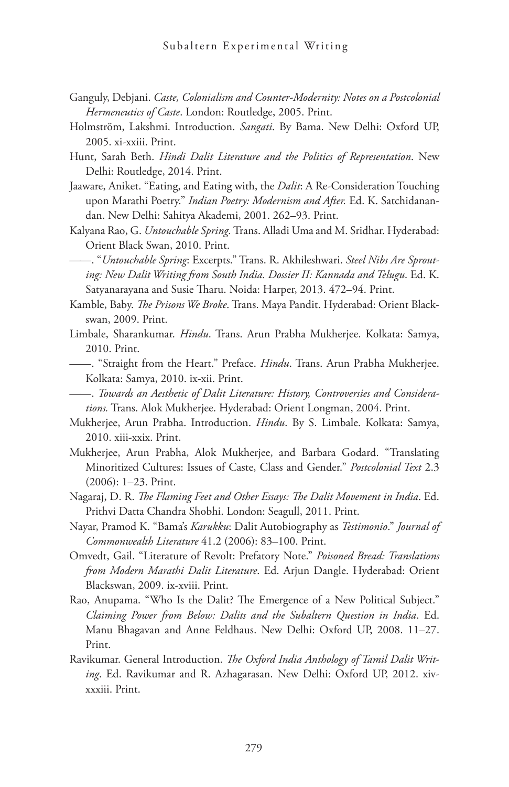- Ganguly, Debjani. *Caste, Colonialism and Counter-Modernity: Notes on a Postcolonial Hermeneutics of Caste*. London: Routledge, 2005. Print.
- Holmström, Lakshmi. Introduction. *Sangati*. By Bama. New Delhi: Oxford UP, 2005. xi-xxiii. Print.
- Hunt, Sarah Beth. *Hindi Dalit Literature and the Politics of Representation*. New Delhi: Routledge, 2014. Print.
- Jaaware, Aniket. "Eating, and Eating with, the *Dalit*: A Re-Consideration Touching upon Marathi Poetry." *Indian Poetry: Modernism and After.* Ed. K. Satchidanandan. New Delhi: Sahitya Akademi, 2001. 262–93. Print.
- Kalyana Rao, G. *Untouchable Spring.* Trans. Alladi Uma and M. Sridhar. Hyderabad: Orient Black Swan, 2010. Print.
- ——. "*Untouchable Spring*: Excerpts." Trans. R. Akhileshwari. *Steel Nibs Are Sprouting: New Dalit Writing from South India. Dossier II: Kannada and Telugu*. Ed. K. Satyanarayana and Susie Tharu. Noida: Harper, 2013. 472–94. Print.
- Kamble, Baby. *The Prisons We Broke*. Trans. Maya Pandit. Hyderabad: Orient Blackswan, 2009. Print.
- Limbale, Sharankumar. *Hindu*. Trans. Arun Prabha Mukherjee. Kolkata: Samya, 2010. Print.
- ——. "Straight from the Heart." Preface. *Hindu*. Trans. Arun Prabha Mukherjee. Kolkata: Samya, 2010. ix-xii. Print.
- ——. *Towards an Aesthetic of Dalit Literature: History, Controversies and Considerations.* Trans. Alok Mukherjee. Hyderabad: Orient Longman, 2004. Print.
- Mukherjee, Arun Prabha. Introduction. *Hindu*. By S. Limbale. Kolkata: Samya, 2010. xiii-xxix. Print.
- Mukherjee, Arun Prabha, Alok Mukherjee, and Barbara Godard. "Translating Minoritized Cultures: Issues of Caste, Class and Gender." *Postcolonial Text* 2.3 (2006): 1–23. Print.
- Nagaraj, D. R. *The Flaming Feet and Other Essays: The Dalit Movement in India*. Ed. Prithvi Datta Chandra Shobhi. London: Seagull, 2011. Print.
- Nayar, Pramod K. "Bama's *Karukku*: Dalit Autobiography as *Testimonio*." *Journal of Commonwealth Literature* 41.2 (2006): 83–100. Print.
- Omvedt, Gail. "Literature of Revolt: Prefatory Note." *Poisoned Bread: Translations from Modern Marathi Dalit Literature*. Ed. Arjun Dangle. Hyderabad: Orient Blackswan, 2009. ix-xviii. Print.
- Rao, Anupama. "Who Is the Dalit? The Emergence of a New Political Subject." *Claiming Power from Below: Dalits and the Subaltern Question in India*. Ed. Manu Bhagavan and Anne Feldhaus. New Delhi: Oxford UP, 2008. 11–27. Print.
- Ravikumar. General Introduction. *The Oxford India Anthology of Tamil Dalit Writing*. Ed. Ravikumar and R. Azhagarasan. New Delhi: Oxford UP, 2012. xivxxxiii. Print.